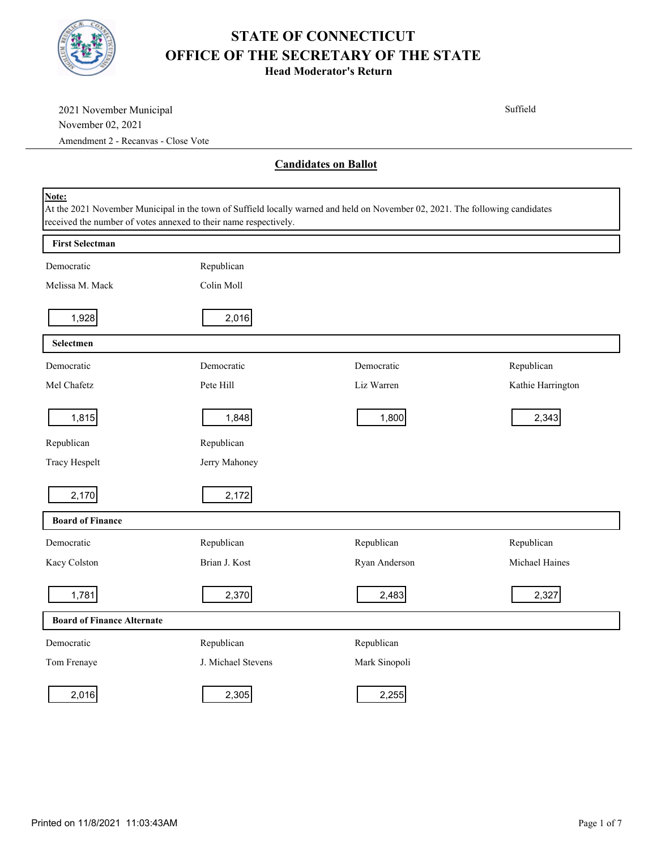

| 2021 November Municipal<br>November 02, 2021                              |                    |                                                                                                                               | Suffield          |
|---------------------------------------------------------------------------|--------------------|-------------------------------------------------------------------------------------------------------------------------------|-------------------|
| Amendment 2 - Recanvas - Close Vote                                       |                    |                                                                                                                               |                   |
|                                                                           |                    | <b>Candidates on Ballot</b>                                                                                                   |                   |
| Note:<br>received the number of votes annexed to their name respectively. |                    | At the 2021 November Municipal in the town of Suffield locally warned and held on November 02, 2021. The following candidates |                   |
| <b>First Selectman</b>                                                    |                    |                                                                                                                               |                   |
| Democratic                                                                | Republican         |                                                                                                                               |                   |
| Melissa M. Mack                                                           | Colin Moll         |                                                                                                                               |                   |
| 1,928                                                                     | 2,016              |                                                                                                                               |                   |
| Selectmen                                                                 |                    |                                                                                                                               |                   |
| Democratic                                                                | Democratic         | Democratic                                                                                                                    | Republican        |
| Mel Chafetz                                                               | Pete Hill          | Liz Warren                                                                                                                    | Kathie Harrington |
| 1,815                                                                     | 1,848              | 1,800                                                                                                                         | 2,343             |
| Republican                                                                | Republican         |                                                                                                                               |                   |
| Tracy Hespelt                                                             | Jerry Mahoney      |                                                                                                                               |                   |
| 2,170                                                                     | 2,172              |                                                                                                                               |                   |
| <b>Board of Finance</b>                                                   |                    |                                                                                                                               |                   |
| Democratic                                                                | Republican         | Republican                                                                                                                    | Republican        |
| Kacy Colston                                                              | Brian J. Kost      | Ryan Anderson                                                                                                                 | Michael Haines    |
| 1,781                                                                     | 2,370              | 2,483                                                                                                                         | 2,327             |
| <b>Board of Finance Alternate</b>                                         |                    |                                                                                                                               |                   |
| Democratic                                                                | Republican         | Republican                                                                                                                    |                   |
| Tom Frenaye                                                               | J. Michael Stevens | Mark Sinopoli                                                                                                                 |                   |
| 2,016                                                                     | 2,305              | 2,255                                                                                                                         |                   |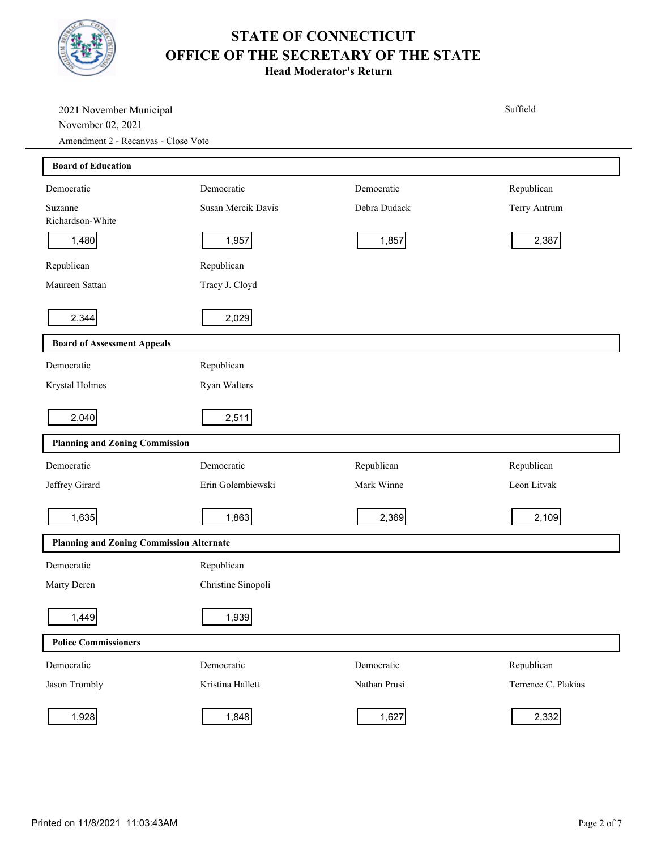

| 2021 November Municipal<br>November 02, 2021<br>Amendment 2 - Recanvas - Close Vote |                    |              | Suffield            |
|-------------------------------------------------------------------------------------|--------------------|--------------|---------------------|
| <b>Board of Education</b>                                                           |                    |              |                     |
| Democratic                                                                          | Democratic         | Democratic   | Republican          |
| Suzanne<br>Richardson-White                                                         | Susan Mercik Davis | Debra Dudack | Terry Antrum        |
| 1,480                                                                               | 1,957              | 1,857        | 2,387               |
| Republican                                                                          | Republican         |              |                     |
| Maureen Sattan                                                                      | Tracy J. Cloyd     |              |                     |
| 2,344                                                                               | 2,029              |              |                     |
| <b>Board of Assessment Appeals</b>                                                  |                    |              |                     |
| Democratic                                                                          | Republican         |              |                     |
| Krystal Holmes                                                                      | Ryan Walters       |              |                     |
| 2,040                                                                               | 2,511              |              |                     |
| <b>Planning and Zoning Commission</b>                                               |                    |              |                     |
| Democratic                                                                          | Democratic         | Republican   | Republican          |
| Jeffrey Girard                                                                      | Erin Golembiewski  | Mark Winne   | Leon Litvak         |
| 1,635                                                                               | 1,863              | 2,369        | 2,109               |
| <b>Planning and Zoning Commission Alternate</b>                                     |                    |              |                     |
| Democratic                                                                          | Republican         |              |                     |
| Marty Deren                                                                         | Christine Sinopoli |              |                     |
| 1,449                                                                               | 1,939              |              |                     |
| <b>Police Commissioners</b>                                                         |                    |              |                     |
| Democratic                                                                          | Democratic         | Democratic   | Republican          |
| Jason Trombly                                                                       | Kristina Hallett   | Nathan Prusi | Terrence C. Plakias |
| 1,928                                                                               | 1,848              | 1,627        | 2,332               |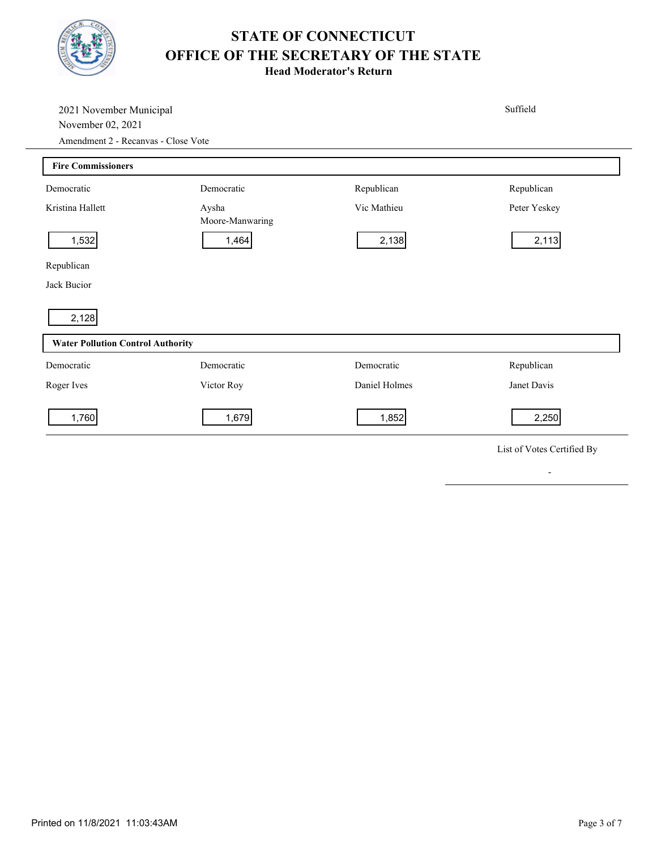

**Head Moderator's Return**

| 2021 November Municipal<br>November 02, 2021<br>Amendment 2 - Recanvas - Close Vote |                          |               | Suffield                   |  |  |
|-------------------------------------------------------------------------------------|--------------------------|---------------|----------------------------|--|--|
| <b>Fire Commissioners</b>                                                           |                          |               |                            |  |  |
| Democratic                                                                          | Democratic               | Republican    | Republican                 |  |  |
| Kristina Hallett                                                                    | Aysha<br>Moore-Manwaring | Vic Mathieu   | Peter Yeskey               |  |  |
| 1,532                                                                               | 1,464                    | 2,138         | 2,113                      |  |  |
| Republican                                                                          |                          |               |                            |  |  |
| Jack Bucior                                                                         |                          |               |                            |  |  |
| 2,128                                                                               |                          |               |                            |  |  |
| <b>Water Pollution Control Authority</b>                                            |                          |               |                            |  |  |
| Democratic                                                                          | Democratic               | Democratic    | Republican                 |  |  |
| Roger Ives                                                                          | Victor Roy               | Daniel Holmes | Janet Davis                |  |  |
| 1,760                                                                               | 1,679                    | 1,852         | 2,250                      |  |  |
|                                                                                     |                          |               | List of Votes Certified By |  |  |

-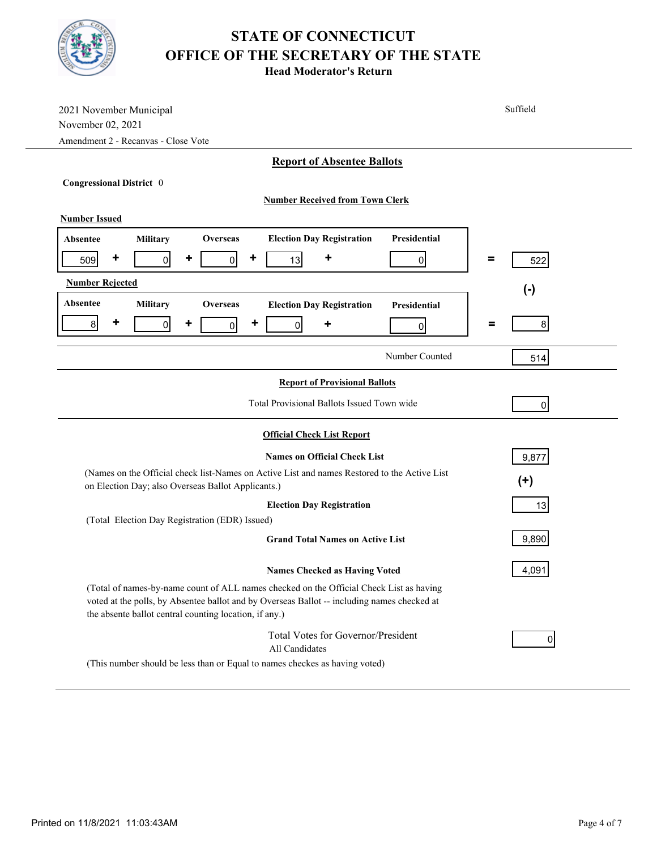|--|--|

| 2021 November Municipal<br>November 02, 2021<br>Amendment 2 - Recanvas - Close Vote                                                                                                                                                              | Suffield        |  |  |  |
|--------------------------------------------------------------------------------------------------------------------------------------------------------------------------------------------------------------------------------------------------|-----------------|--|--|--|
| <b>Report of Absentee Ballots</b>                                                                                                                                                                                                                |                 |  |  |  |
| Congressional District 0                                                                                                                                                                                                                         |                 |  |  |  |
| <b>Number Received from Town Clerk</b>                                                                                                                                                                                                           |                 |  |  |  |
| <b>Number Issued</b>                                                                                                                                                                                                                             |                 |  |  |  |
| Presidential<br><b>Election Day Registration</b><br>Military<br><b>Absentee</b><br><b>Overseas</b>                                                                                                                                               |                 |  |  |  |
| ٠<br>٠<br>٠<br>٠<br> 0 <br>$\overline{0}$<br>13<br>509<br> 0                                                                                                                                                                                     | $\equiv$<br>522 |  |  |  |
| <b>Number Rejected</b>                                                                                                                                                                                                                           | $(-)$           |  |  |  |
| Absentee<br>Military<br><b>Overseas</b><br><b>Election Day Registration</b><br><b>Presidential</b>                                                                                                                                               |                 |  |  |  |
| ٠<br>8 <sup>1</sup><br>٠<br>٠<br>$\overline{0}$<br> 0 <br>0<br>٠<br> 0                                                                                                                                                                           | 8<br>=          |  |  |  |
| Number Counted                                                                                                                                                                                                                                   | 514             |  |  |  |
| <b>Report of Provisional Ballots</b>                                                                                                                                                                                                             |                 |  |  |  |
| Total Provisional Ballots Issued Town wide<br>$\overline{0}$                                                                                                                                                                                     |                 |  |  |  |
| <b>Official Check List Report</b>                                                                                                                                                                                                                |                 |  |  |  |
| <b>Names on Official Check List</b><br>9,877                                                                                                                                                                                                     |                 |  |  |  |
| (Names on the Official check list-Names on Active List and names Restored to the Active List<br>on Election Day; also Overseas Ballot Applicants.)                                                                                               | $(+)$           |  |  |  |
| <b>Election Day Registration</b>                                                                                                                                                                                                                 | 13              |  |  |  |
| (Total Election Day Registration (EDR) Issued)                                                                                                                                                                                                   |                 |  |  |  |
| <b>Grand Total Names on Active List</b>                                                                                                                                                                                                          | 9,890           |  |  |  |
| <b>Names Checked as Having Voted</b>                                                                                                                                                                                                             | 4,091           |  |  |  |
| (Total of names-by-name count of ALL names checked on the Official Check List as having<br>voted at the polls, by Absentee ballot and by Overseas Ballot -- including names checked at<br>the absente ballot central counting location, if any.) |                 |  |  |  |
| Total Votes for Governor/President<br>All Candidates                                                                                                                                                                                             | 0               |  |  |  |
| (This number should be less than or Equal to names checkes as having voted)                                                                                                                                                                      |                 |  |  |  |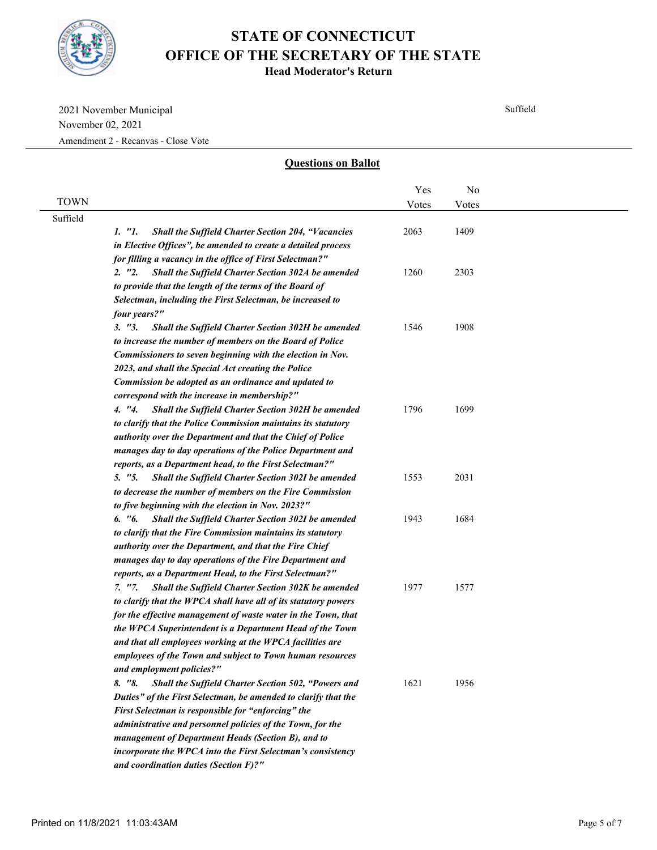

**Head Moderator's Return**

2021 November Municipal November 02, 2021

Amendment 2 - Recanvas - Close Vote

#### **Questions on Ballot**

Suffield

|             |                                                                     | Yes   | No    |  |
|-------------|---------------------------------------------------------------------|-------|-------|--|
| <b>TOWN</b> |                                                                     |       |       |  |
| Suffield    |                                                                     | Votes | Votes |  |
|             | 1. "1.<br><b>Shall the Suffield Charter Section 204, "Vacancies</b> | 2063  | 1409  |  |
|             | in Elective Offices", be amended to create a detailed process       |       |       |  |
|             | for filling a vacancy in the office of First Selectman?"            |       |       |  |
|             | 2. "2.<br>Shall the Suffield Charter Section 302A be amended        | 1260  | 2303  |  |
|             | to provide that the length of the terms of the Board of             |       |       |  |
|             | Selectman, including the First Selectman, be increased to           |       |       |  |
|             | four years?"                                                        |       |       |  |
|             | 3. "3.<br><b>Shall the Suffield Charter Section 302H be amended</b> | 1546  | 1908  |  |
|             | to increase the number of members on the Board of Police            |       |       |  |
|             | Commissioners to seven beginning with the election in Nov.          |       |       |  |
|             | 2023, and shall the Special Act creating the Police                 |       |       |  |
|             | Commission be adopted as an ordinance and updated to                |       |       |  |
|             | correspond with the increase in membership?"                        |       |       |  |
|             | Shall the Suffield Charter Section 302H be amended<br>4. "4.        | 1796  | 1699  |  |
|             | to clarify that the Police Commission maintains its statutory       |       |       |  |
|             | authority over the Department and that the Chief of Police          |       |       |  |
|             | manages day to day operations of the Police Department and          |       |       |  |
|             | reports, as a Department head, to the First Selectman?"             |       |       |  |
|             | 5. "5.<br><b>Shall the Suffield Charter Section 302I be amended</b> | 1553  | 2031  |  |
|             | to decrease the number of members on the Fire Commission            |       |       |  |
|             | to five beginning with the election in Nov. 2023?"                  |       |       |  |
|             | 6. "6.<br>Shall the Suffield Charter Section 302I be amended        | 1943  | 1684  |  |
|             | to clarify that the Fire Commission maintains its statutory         |       |       |  |
|             | authority over the Department, and that the Fire Chief              |       |       |  |
|             | manages day to day operations of the Fire Department and            |       |       |  |
|             | reports, as a Department Head, to the First Selectman?"             |       |       |  |
|             | <b>Shall the Suffield Charter Section 302K be amended</b><br>7. "7. | 1977  | 1577  |  |
|             | to clarify that the WPCA shall have all of its statutory powers     |       |       |  |
|             | for the effective management of waste water in the Town, that       |       |       |  |
|             | the WPCA Superintendent is a Department Head of the Town            |       |       |  |
|             | and that all employees working at the WPCA facilities are           |       |       |  |
|             | employees of the Town and subject to Town human resources           |       |       |  |
|             | and employment policies?"                                           |       |       |  |
|             | 8. "8.<br>Shall the Suffield Charter Section 502, "Powers and       | 1621  | 1956  |  |
|             | Duties" of the First Selectman, be amended to clarify that the      |       |       |  |
|             | First Selectman is responsible for "enforcing" the                  |       |       |  |
|             | administrative and personnel policies of the Town, for the          |       |       |  |
|             | management of Department Heads (Section B), and to                  |       |       |  |
|             | incorporate the WPCA into the First Selectman's consistency         |       |       |  |
|             | and coordination duties (Section F)?"                               |       |       |  |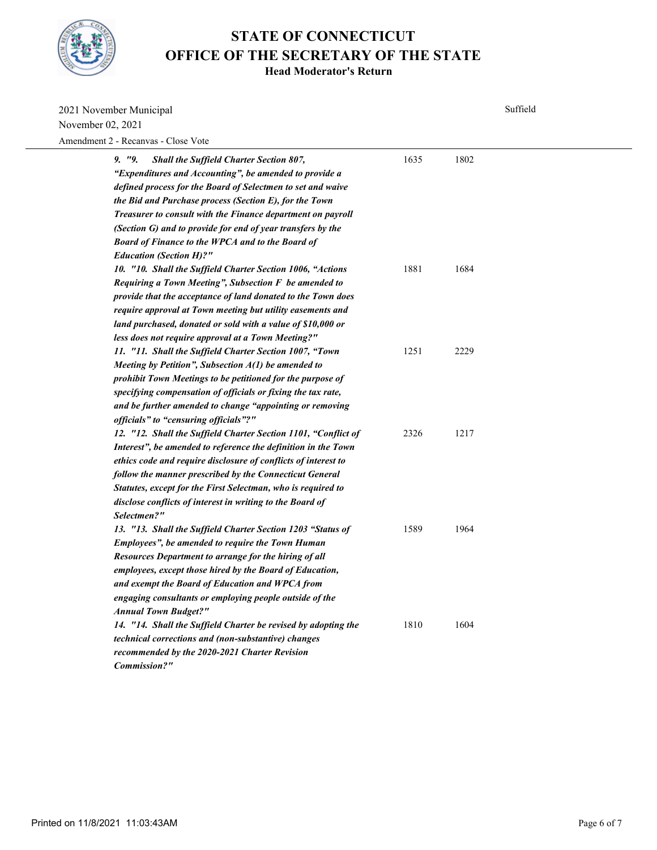

| 2021 November Municipal                                                                                                                                                                                                                                                                                                                                                                                                              |      | Suffield |  |  |
|--------------------------------------------------------------------------------------------------------------------------------------------------------------------------------------------------------------------------------------------------------------------------------------------------------------------------------------------------------------------------------------------------------------------------------------|------|----------|--|--|
| November 02, 2021                                                                                                                                                                                                                                                                                                                                                                                                                    |      |          |  |  |
| Amendment 2 - Recanvas - Close Vote                                                                                                                                                                                                                                                                                                                                                                                                  |      |          |  |  |
| 9. "9.<br><b>Shall the Suffield Charter Section 807,</b><br>"Expenditures and Accounting", be amended to provide a<br>defined process for the Board of Selectmen to set and waive<br>the Bid and Purchase process (Section E), for the Town<br>Treasurer to consult with the Finance department on payroll<br>(Section G) and to provide for end of year transfers by the<br><b>Board of Finance to the WPCA and to the Board of</b> | 1635 | 1802     |  |  |
| <b>Education (Section H)?"</b><br>10. "10. Shall the Suffield Charter Section 1006, "Actions<br>Requiring a Town Meeting", Subsection F be amended to<br>provide that the acceptance of land donated to the Town does<br>require approval at Town meeting but utility easements and<br>land purchased, donated or sold with a value of \$10,000 or<br>less does not require approval at a Town Meeting?"                             | 1881 | 1684     |  |  |
| 11. "11. Shall the Suffield Charter Section 1007, "Town<br>Meeting by Petition", Subsection $A(1)$ be amended to<br>prohibit Town Meetings to be petitioned for the purpose of<br>specifying compensation of officials or fixing the tax rate,<br>and be further amended to change "appointing or removing<br>officials" to "censuring officials"?"                                                                                  | 1251 | 2229     |  |  |
| 12. "12. Shall the Suffield Charter Section 1101, "Conflict of<br>Interest", be amended to reference the definition in the Town<br>ethics code and require disclosure of conflicts of interest to<br>follow the manner prescribed by the Connecticut General<br>Statutes, except for the First Selectman, who is required to<br>disclose conflicts of interest in writing to the Board of<br>Selectmen?"                             | 2326 | 1217     |  |  |
| 13. "13. Shall the Suffield Charter Section 1203 "Status of<br>Employees", be amended to require the Town Human<br>Resources Department to arrange for the hiring of all<br>employees, except those hired by the Board of Education,<br>and exempt the Board of Education and WPCA from<br>engaging consultants or employing people outside of the<br><b>Annual Town Budget?"</b>                                                    | 1589 | 1964     |  |  |
| 14. "14. Shall the Suffield Charter be revised by adopting the<br>technical corrections and (non-substantive) changes<br>recommended by the 2020-2021 Charter Revision<br>Commission?"                                                                                                                                                                                                                                               | 1810 | 1604     |  |  |